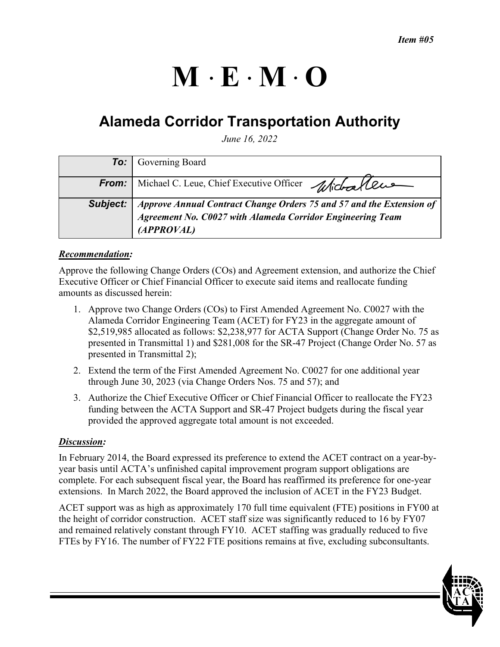# $M \cdot E \cdot M \cdot O$

# **Alameda Corridor Transportation Authority**

*June 16, 2022* 

|          | <b>To:</b> Governing Board                                                                                                              |
|----------|-----------------------------------------------------------------------------------------------------------------------------------------|
|          |                                                                                                                                         |
| From:    | Michael C. Leue, Chief Executive Officer Michael Cus                                                                                    |
|          |                                                                                                                                         |
| Subject: |                                                                                                                                         |
|          | Approve Annual Contract Change Orders 75 and 57 and the Extension of $\vert$ Agreement No. C0027 with Alameda Corridor Engineering Team |
|          | (APPROVAL)                                                                                                                              |

#### *Recommendation:*

Approve the following Change Orders (COs) and Agreement extension, and authorize the Chief Executive Officer or Chief Financial Officer to execute said items and reallocate funding amounts as discussed herein:

- 1. Approve two Change Orders (COs) to First Amended Agreement No. C0027 with the Alameda Corridor Engineering Team (ACET) for FY23 in the aggregate amount of \$2,519,985 allocated as follows: \$2,238,977 for ACTA Support (Change Order No. 75 as presented in Transmittal 1) and \$281,008 for the SR-47 Project (Change Order No. 57 as presented in Transmittal 2);
- 2. Extend the term of the First Amended Agreement No. C0027 for one additional year through June 30, 2023 (via Change Orders Nos. 75 and 57); and
- 3. Authorize the Chief Executive Officer or Chief Financial Officer to reallocate the FY23 funding between the ACTA Support and SR-47 Project budgets during the fiscal year provided the approved aggregate total amount is not exceeded.

#### *Discussion:*

In February 2014, the Board expressed its preference to extend the ACET contract on a year-byyear basis until ACTA's unfinished capital improvement program support obligations are complete. For each subsequent fiscal year, the Board has reaffirmed its preference for one-year extensions. In March 2022, the Board approved the inclusion of ACET in the FY23 Budget.

ACET support was as high as approximately 170 full time equivalent (FTE) positions in FY00 at the height of corridor construction. ACET staff size was significantly reduced to 16 by FY07 and remained relatively constant through FY10. ACET staffing was gradually reduced to five FTEs by FY16. The number of FY22 FTE positions remains at five, excluding subconsultants.

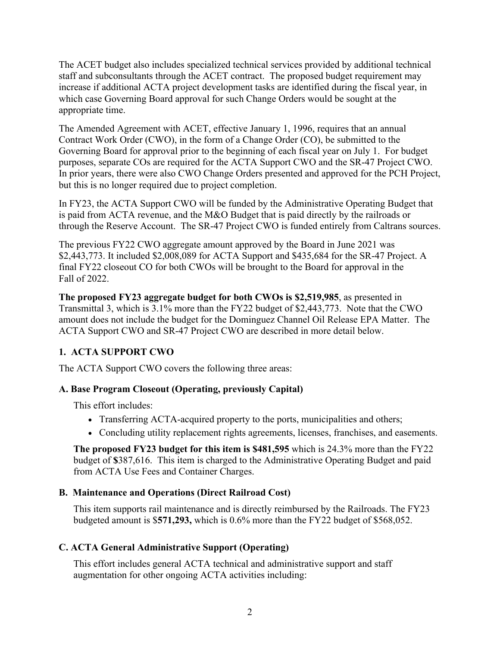The ACET budget also includes specialized technical services provided by additional technical staff and subconsultants through the ACET contract. The proposed budget requirement may increase if additional ACTA project development tasks are identified during the fiscal year, in which case Governing Board approval for such Change Orders would be sought at the appropriate time.

The Amended Agreement with ACET, effective January 1, 1996, requires that an annual Contract Work Order (CWO), in the form of a Change Order (CO), be submitted to the Governing Board for approval prior to the beginning of each fiscal year on July 1. For budget purposes, separate COs are required for the ACTA Support CWO and the SR-47 Project CWO. In prior years, there were also CWO Change Orders presented and approved for the PCH Project, but this is no longer required due to project completion.

In FY23, the ACTA Support CWO will be funded by the Administrative Operating Budget that is paid from ACTA revenue, and the M&O Budget that is paid directly by the railroads or through the Reserve Account. The SR-47 Project CWO is funded entirely from Caltrans sources.

The previous FY22 CWO aggregate amount approved by the Board in June 2021 was \$2,443,773. It included \$2,008,089 for ACTA Support and \$435,684 for the SR-47 Project. A final FY22 closeout CO for both CWOs will be brought to the Board for approval in the Fall of 2022.

**The proposed FY23 aggregate budget for both CWOs is \$2,519,985**, as presented in Transmittal 3, which is 3.1% more than the FY22 budget of \$2,443,773. Note that the CWO amount does not include the budget for the Dominguez Channel Oil Release EPA Matter. The ACTA Support CWO and SR-47 Project CWO are described in more detail below.

# **1. ACTA SUPPORT CWO**

The ACTA Support CWO covers the following three areas:

# **A. Base Program Closeout (Operating, previously Capital)**

This effort includes:

- Transferring ACTA-acquired property to the ports, municipalities and others;
- Concluding utility replacement rights agreements, licenses, franchises, and easements.

**The proposed FY23 budget for this item is \$481,595** which is 24.3% more than the FY22 budget of **\$**387,616. This item is charged to the Administrative Operating Budget and paid from ACTA Use Fees and Container Charges.

# **B. Maintenance and Operations (Direct Railroad Cost)**

This item supports rail maintenance and is directly reimbursed by the Railroads. The FY23 budgeted amount is \$**571,293,** which is 0.6% more than the FY22 budget of \$568,052.

# **C. ACTA General Administrative Support (Operating)**

This effort includes general ACTA technical and administrative support and staff augmentation for other ongoing ACTA activities including: